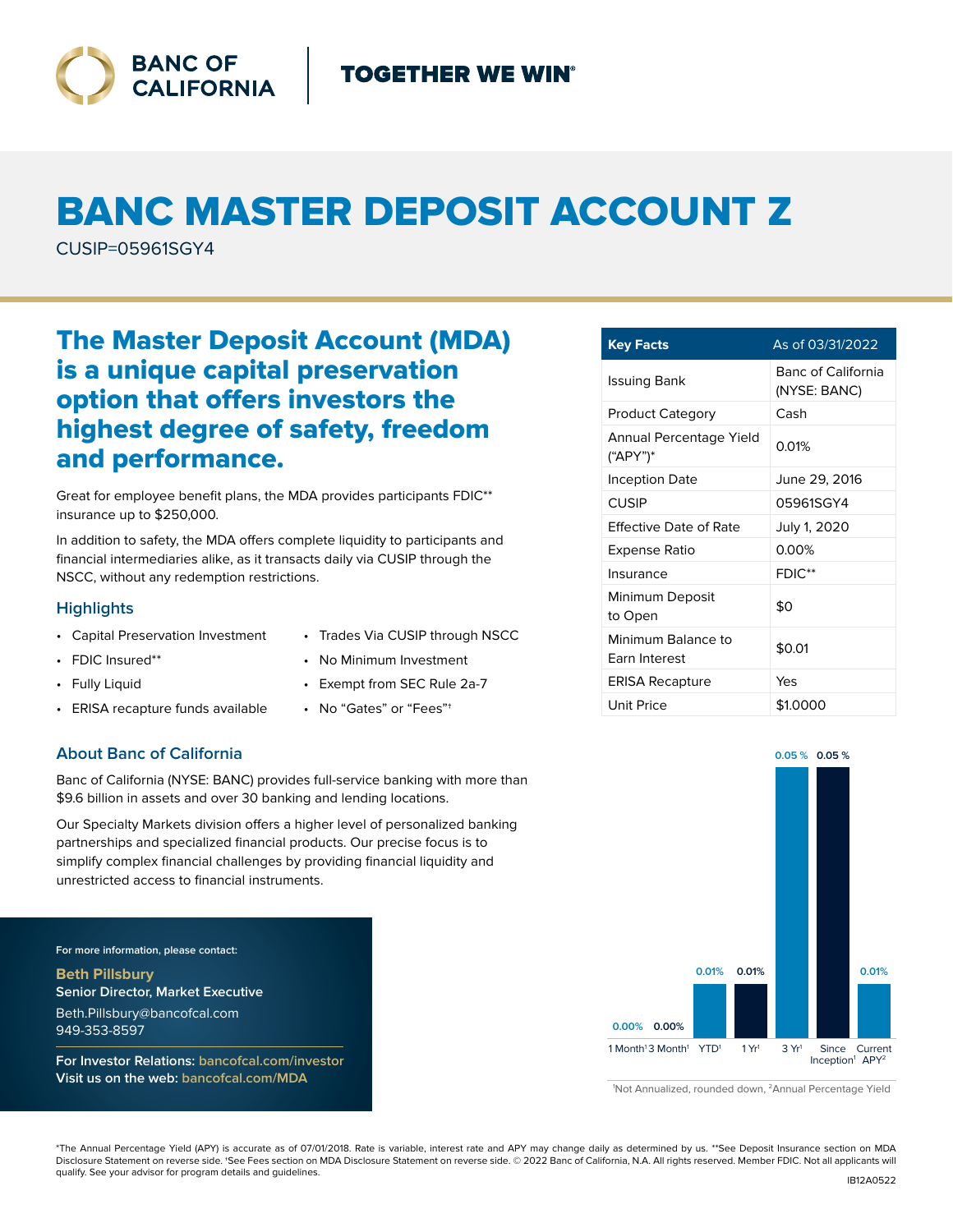

# BANC MASTER DEPOSIT ACCOUNT Z

CUSIP=05961SGY4

# The Master Deposit Account (MDA) is a unique capital preservation option that offers investors the highest degree of safety, freedom and performance.

Great for employee benefit plans, the MDA provides participants FDIC\*\* insurance up to \$250,000.

In addition to safety, the MDA offers complete liquidity to participants and financial intermediaries alike, as it transacts daily via CUSIP through the NSCC, without any redemption restrictions.

### **Highlights**

- Capital Preservation Investment
	- No Minimum Investment
- Fully Liquid

• FDIC Insured\*\*

- ERISA recapture funds available
- Exempt from SEC Rule 2a-7

• Trades Via CUSIP through NSCC

• No "Gates" or "Fees"†

## **About Banc of California**

Banc of California (NYSE: BANC) provides full-service banking with more than \$9.6 billion in assets and over 30 banking and lending locations.

Our Specialty Markets division offers a higher level of personalized banking partnerships and specialized financial products. Our precise focus is to simplify complex financial challenges by providing financial liquidity and unrestricted access to financial instruments.

**For more information, please contact:**

**Beth Pillsbury Senior Director, Market Executive** Beth.Pillsbury@bancofcal.com 949-353-8597

**For Investor Relations: bancofcal.com/investor Visit us on the web: bancofcal.com/MDA**

| <b>Key Facts</b>                           | As of 03/31/2022                   |
|--------------------------------------------|------------------------------------|
| Issuing Bank                               | Banc of California<br>(NYSE: BANC) |
| <b>Product Category</b>                    | Cash                               |
| Annual Percentage Yield<br>("APY")*        | 0.01%                              |
| <b>Inception Date</b>                      | June 29, 2016                      |
| CUSIP                                      | 05961SGY4                          |
| <b>Effective Date of Rate</b>              | July 1, 2020                       |
| Expense Ratio                              | 0.00%                              |
| Insurance                                  | $FDIC**$                           |
| Minimum Deposit<br>to Open                 | \$0                                |
| Minimum Balance to<br><b>Farn Interest</b> | \$0.01                             |
| <b>ERISA Recapture</b>                     | Yes                                |
| Unit Price                                 | \$1.0000                           |



<sup>1</sup> Not Annualized, rounded down, 2Annual Percentage Yield

\*The Annual Percentage Yield (APY) is accurate as of 07/01/2018. Rate is variable, interest rate and APY may change daily as determined by us. \*\*See Deposit Insurance section on MDA Disclosure Statement on reverse side. †See Fees section on MDA Disclosure Statement on reverse side. © 2022 Banc of California, N.A. All rights reserved. Member FDIC. Not all applicants will qualify. See your advisor for program details and guidelines.